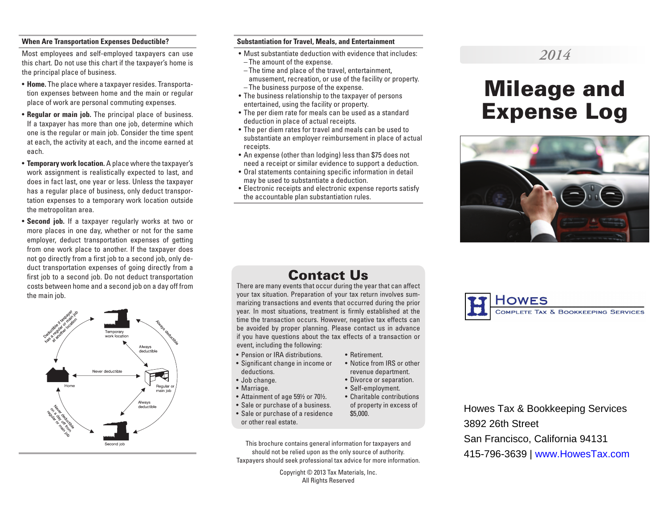### **When Are Transportation Expenses Deductible?**

Most employees and self-employed taxpayers can use this chart. Do not use this chart if the taxpayer's home is the principal place of business.

- **Home.** The place where a taxpayer resides. Transportation expenses between home and the main or regular place of work are personal commuting expenses.
- **Regular or main job.** The principal place of business. If a taxpayer has more than one job, determine which one is the regular or main job. Consider the time spent at each, the activity at each, and the income earned at each.
- **Temporary work location.** A place where the taxpayer's work assignment is realistically expected to last, and does in fact last, one year or less. Unless the taxpayer has a regular place of business, only deduct transportation expenses to a temporary work location outside the metropolitan area.
- **Second job.** If a taxpayer regularly works at two or more places in one day, whether or not for the same employer, deduct transportation expenses of getting from one work place to another. If the taxpayer does not go directly from a first job to a second job, only deduct transportation expenses of going directly from a first job to a second job. Do not deduct transportation costs between home and a second job on a day off from the main job.



#### **Substantiation for Travel, Meals, and Entertainment**

- Must substantiate deduction with evidence that includes: – The amount of the expense.
- The time and place of the travel, entertainment, amusement, recreation, or use of the facility or property. – The business purpose of the expense.
- The business relationship to the taxpayer of persons entertained, using the facility or property.
- The per diem rate for meals can be used as a standard deduction in place of actual receipts.
- The per diem rates for travel and meals can be used to substantiate an employer reimbursement in place of actual receipts.
- An expense (other than lodging) less than \$75 does not need a receipt or similar evidence to support a deduction.
- Oral statements containing specific information in detail may be used to substantiate a deduction.
- Electronic receipts and electronic expense reports satisfy the accountable plan substantiation rules.

## *2014*

# Mileage and Expense Log



## Contact Us

There are many events that occur during the year that can affect your tax situation. Preparation of your tax return involves summarizing transactions and events that occurred during the prior year. In most situations, treatment is firmly established at the time the transaction occurs. However, negative tax effects can be avoided by proper planning. Please contact us in advance if you have questions about the tax effects of a transaction or event, including the following:

• Retirement.

\$5,000.

• Notice from IRS or other revenue department. • Divorce or separation. • Self-employment.

- Pension or IRA distributions.
- Significant change in income or deductions.
- Job change.
- Marriage.
- Attainment of age 59½ or 70½. • Charitable contributions
- Sale or purchase of a business. of property in excess of
- Sale or purchase of a residence or other real estate.
- This brochure contains general information for taxpayers and should not be relied upon as the only source of authority. Taxpayers should seek professional tax advice for more information.

Copyright © 2013 Tax Materials, Inc. All Rights Reserved



Howes Tax & Bookkeeping Services 3892 26th Street San Francisco, California 94131 415-796-3639 | www.HowesTax.com